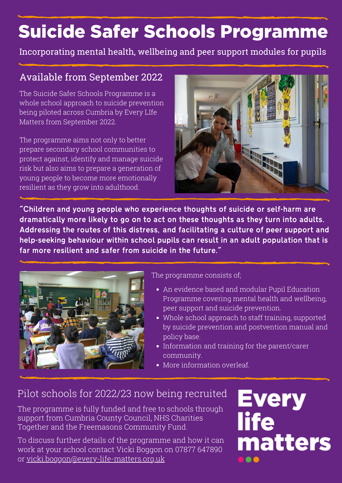## Suicide Safer Schools Programme

Incorporating mental health, wellbeing and peer support modules for pupils

### Available from September 2022

The Suicide Safer Schools Programme is a whole school approach to suicide prevention being piloted across Cumbria by Every LIfe Matters from September 2022.

The programme aims not only to better prepare secondary school communities to protect against, identify and manage suicide risk but also aims to prepare a generation of young people to become more emotionally resilient as they grow into adulthood.



"Children and young people who experience thoughts of suicide or self-harm are dramatically more likely to go on to act on these thoughts as they turn into adults. Addressing the routes of this distress, and facilitating a culture of peer support and help-seeking behaviour within school pupils can result in an adult population that is far more resilient and safer from suicide in the future."



The programme consists of;

- An evidence based and modular Pupil Education Programme covering mental health and wellbeing, peer support and suicide prevention.
- Whole school approach to staff training, supported by suicide prevention and postvention manual and policy base.
- Information and training for the parent/carer community.
- More information overleaf.

## Pilot schools for 2022/23 now being recruited

The programme is fully funded and free to schools through support from Cumbria County Council, NHS Charities Together and the Freemasons Community Fund.

To discuss further details of the programme and how it can work at your school contact Vicki Boggon on 07877 647890 or [vicki.boggon@every-life-matters.org.uk](mailto:vicki.boggon@every-life-matters.org.uk)

# **Every<br>life** matters